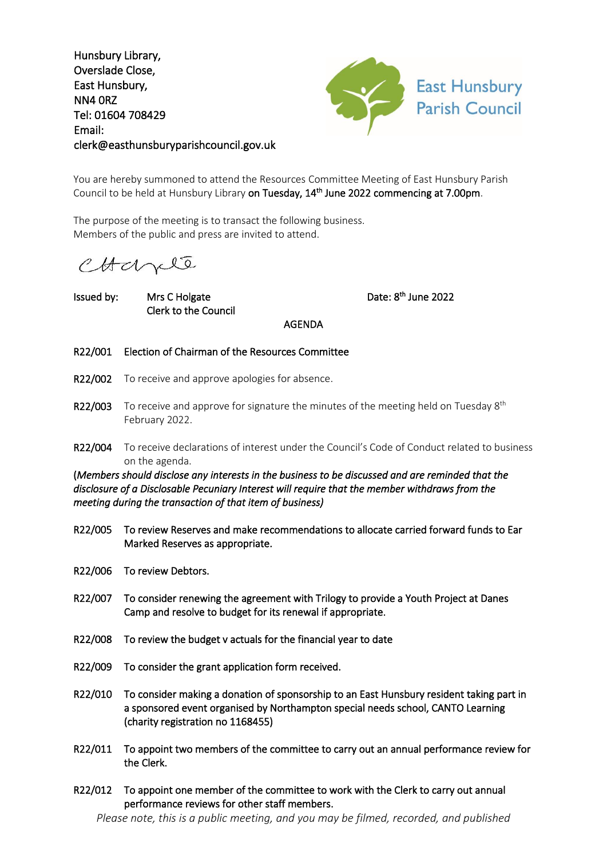Hunsbury Library, Overslade Close, East Hunsbury, NN4 0RZ Tel: 01604 708429 Email: clerk@easthunsburyparishcouncil.gov.uk



You are hereby summoned to attend the Resources Committee Meeting of East Hunsbury Parish Council to be held at Hunsbury Library on Tuesday, 14<sup>th</sup> June 2022 commencing at 7.00pm.

The purpose of the meeting is to transact the following business. Members of the public and press are invited to attend.

CHapte

Issued by: Mrs C Holgate Clerk to the Council <sup>th</sup> June 2022

AGENDA

- R22/001 Election of Chairman of the Resources Committee
- R22/002 To receive and approve apologies for absence.
- R22/003 To receive and approve for signature the minutes of the meeting held on Tuesday  $8^{th}$ February 2022.
- R22/004 To receive declarations of interest under the Council's Code of Conduct related to business on the agenda.

(*Members should disclose any interests in the business to be discussed and are reminded that the disclosure of a Disclosable Pecuniary Interest will require that the member withdraws from the meeting during the transaction of that item of business)* 

- R22/005 To review Reserves and make recommendations to allocate carried forward funds to Ear Marked Reserves as appropriate.
- R22/006 To review Debtors.
- R22/007 To consider renewing the agreement with Trilogy to provide a Youth Project at Danes Camp and resolve to budget for its renewal if appropriate.
- R22/008 To review the budget v actuals for the financial year to date
- R22/009 To consider the grant application form received.
- R22/010 To consider making a donation of sponsorship to an East Hunsbury resident taking part in a sponsored event organised by Northampton special needs school, CANTO Learning (charity registration no 1168455)
- R22/011 To appoint two members of the committee to carry out an annual performance review for the Clerk.
- R22/012 To appoint one member of the committee to work with the Clerk to carry out annual performance reviews for other staff members.

*Please note, this is a public meeting, and you may be filmed, recorded, and published*